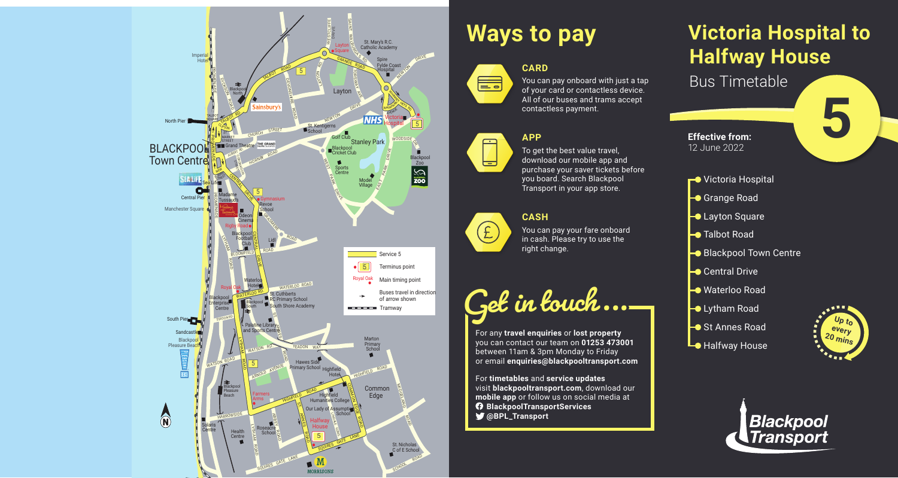## **Victoria Hospital to Halfway House** Bus Timetable



### **CARD** E.

You can pay onboard with just a tap of your card or contactless device. All of our buses and trams accept contactless payment.

**5**



# **Ways to pay**

#### **APP**



To get the best value travel, download our mobile app and purchase your saver tickets before you board. Search Blackpool Transport in your app store.

#### **CASH**



You can pay your fare onboard in cash. Please try to use the right change.



For any **travel enquiries** or **lost property** you can contact our team on **01253 473001** between 11am & 3pm Monday to Friday or email **enquiries@blackpooltransport.com**

For **timetables** and **service updates** visit **blackpooltransport.com**, download our **mobile app** or follow us on social media at **BlackpoolTransportServices @BPL\_Transport**



**Effective from:** 12 June 2022

- **←●** Victoria Hospital
- Grange Road
- **Layton Square**
- **Talbot Road**
- Blackpool Town Centre
- **► Central Drive**
- **Waterloo Road**
- **C** Lytham Road
- **→ St Annes Road**
- **L** Halfway House